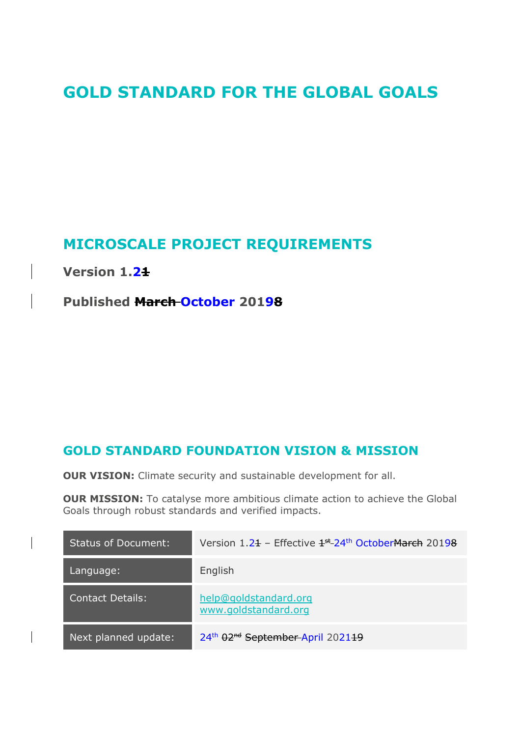# **GOLD STANDARD FOR THE GLOBAL GOALS**

# **MICROSCALE PROJECT REQUIREMENTS**

**Version 1.21**

**Published March October 20198**

# **GOLD STANDARD FOUNDATION VISION & MISSION**

**OUR VISION:** Climate security and sustainable development for all.

**OUR MISSION:** To catalyse more ambitious climate action to achieve the Global Goals through robust standards and verified impacts.

| <b>Status of Document:</b> | Version $1.21$ – Effective $1^{st}$ 24 <sup>th</sup> October March 20198 |
|----------------------------|--------------------------------------------------------------------------|
| Language:                  | English                                                                  |
| <b>Contact Details:</b>    | help@goldstandard.org<br>www.goldstandard.org                            |
| Next planned update:       | 24th 02 <sup>nd</sup> September-April 202119                             |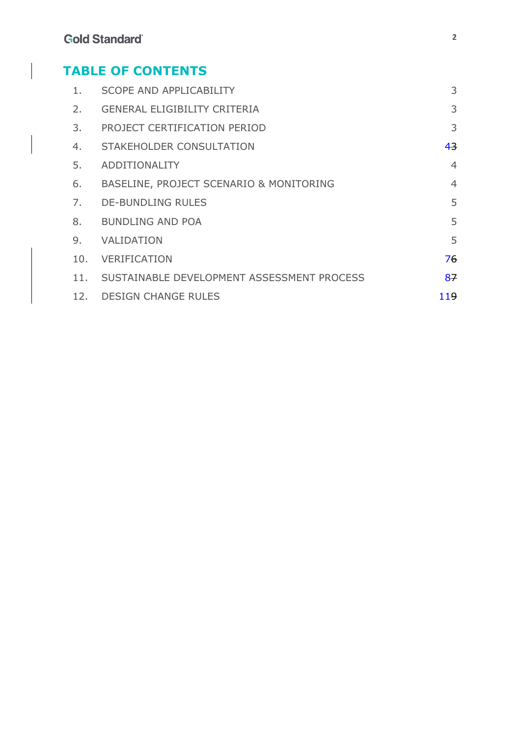# **TABLE OF CONTENTS**

| 1.  | <b>SCOPE AND APPLICABILITY</b>             | 3              |
|-----|--------------------------------------------|----------------|
| 2.  | <b>GENERAL ELIGIBILITY CRITERIA</b>        | 3              |
| 3.  | PROJECT CERTIFICATION PERIOD               | 3              |
| 4.  | STAKEHOLDER CONSULTATION                   | 43             |
| 5.  | <b>ADDITIONALITY</b>                       | $\overline{4}$ |
| 6.  | BASELINE, PROJECT SCENARIO & MONITORING    | $\overline{4}$ |
| 7.  | <b>DE-BUNDLING RULES</b>                   | 5              |
| 8.  | <b>BUNDLING AND POA</b>                    | 5              |
| 9.  | VALIDATION                                 | 5              |
| 10. | <b>VERIFICATION</b>                        | 76             |
| 11. | SUSTAINABLE DEVELOPMENT ASSESSMENT PROCESS | 87             |
| 12. | <b>DESIGN CHANGE RULES</b>                 | 119            |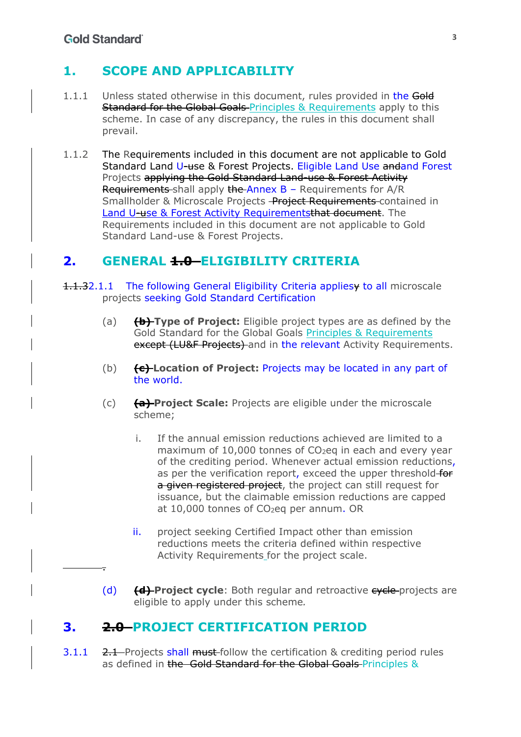.

# **1. SCOPE AND APPLICABILITY**

- 1.1.1 Unless stated otherwise in this document, rules provided in the Gold **Standard for the Global Goals-Principles & Requirements apply to this** scheme. In case of any discrepancy, the rules in this document shall prevail.
- 1.1.2 The Requirements included in this document are not applicable to Gold Standard Land U-use & Forest Projects. Eligible Land Use andand Forest Projects applying the Gold Standard Land-use & Forest Activity Requirements shall apply the Annex B - Requirements for A/R Smallholder & Microscale Projects - Project Requirements-contained in Land U-use & Forest Activity Requirementsthat document. The Requirements included in this document are not applicable to Gold Standard Land-use & Forest Projects.

# **2. GENERAL 1.0 ELIGIBILITY CRITERIA**

- 1.1.32.1.1 The following General Eligibility Criteria appliesy to all microscale projects seeking Gold Standard Certification
	- (a) **(b) Type of Project:** Eligible project types are as defined by the Gold Standard for the Global Goals Principles & Requirements except (LU&F Projects) and in the relevant Activity Requirements.
	- (b) **(c) Location of Project:** Projects may be located in any part of the world.
	- (c) **(a) Project Scale:** Projects are eligible under the microscale scheme;
		- i. If the annual emission reductions achieved are limited to a maximum of 10,000 tonnes of  $CO<sub>2</sub>$ eq in each and every year of the crediting period. Whenever actual emission reductions, as per the verification report, exceed the upper threshold for a given registered project, the project can still request for issuance, but the claimable emission reductions are capped at  $10,000$  tonnes of  $CO<sub>2</sub>$ eq per annum. OR
		- ii. project seeking Certified Impact other than emission reductions meets the criteria defined within respective Activity Requirements for the project scale.
	- (d) **(d) Project cycle**: Both regular and retroactive cycle projects are eligible to apply under this scheme*.*

## **3. 2.0 PROJECT CERTIFICATION PERIOD**

3.1.1  $2.1$  Projects shall must-follow the certification & crediting period rules as defined in the Gold Standard for the Global Goals Principles &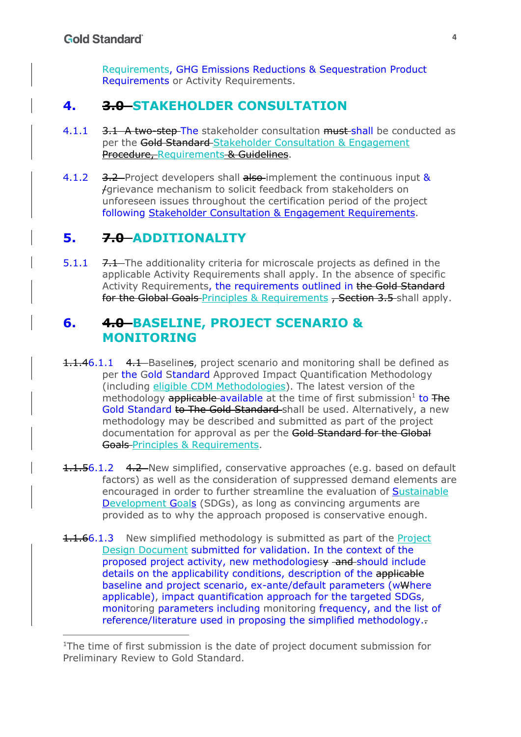Requirements, GHG Emissions Reductions & Sequestration Product Requirements or Activity Requirements.

# **4. 3.0 STAKEHOLDER CONSULTATION**

- 4.1.1 3.1 A two-step The stakeholder consultation must shall be conducted as per the Gold Standard-Stakeholder Consultation & Engagement Procedure, Requirements & Guidelines.
- 4.1.2 3.2 Project developers shall also implement the continuous input & /grievance mechanism to solicit feedback from stakeholders on unforeseen issues throughout the certification period of the project following Stakeholder Consultation & Engagement Requirements.

# **5. 7.0 ADDITIONALITY**

5.1.1 7.1 The additionality criteria for microscale projects as defined in the applicable Activity Requirements shall apply. In the absence of specific Activity Requirements, the requirements outlined in the Gold Standard for the Global Goals Principles & Requirements, Section 3.5 shall apply.

## **6. 4.0 BASELINE, PROJECT SCENARIO & MONITORING**

- **1.1.46.1.1** 4.1 Baselines, project scenario and monitoring shall be defined as per the Gold Standard Approved Impact Quantification Methodology (including eligible CDM Methodologies). The latest version of the methodology **applicable** available at the time of first submission<sup>1</sup> to  $\overline{F}$ Gold Standard to The Gold Standard shall be used. Alternatively, a new methodology may be described and submitted as part of the project documentation for approval as per the Gold Standard for the Global Goals-Principles & Requirements.
- 1.1.56.1.2 4.2 New simplified, conservative approaches (e.g. based on default factors) as well as the consideration of suppressed demand elements are encouraged in order to further streamline the evaluation of Sustainable Development Goals (SDGs), as long as convincing arguments are provided as to why the approach proposed is conservative enough.
- **1.1.66.1.3** New simplified methodology is submitted as part of the Project Design Document submitted for validation. In the context of the proposed project activity, new methodologies wand should include details on the applicability conditions, description of the applicable baseline and project scenario, ex-ante/default parameters (wWhere applicable), impact quantification approach for the targeted SDGs, monitoring parameters including monitoring frequency, and the list of reference/literature used in proposing the simplified methodology..

<sup>&</sup>lt;sup>1</sup>The time of first submission is the date of project document submission for Preliminary Review to Gold Standard.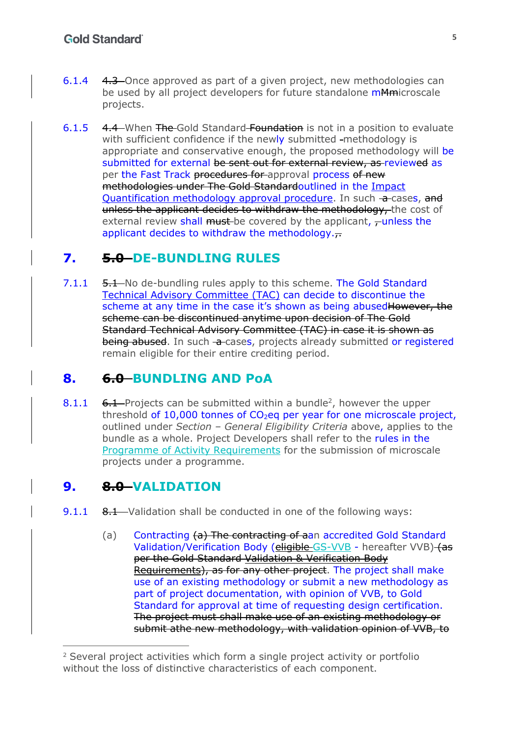- 6.1.4 4.3 Once approved as part of a given project, new methodologies can be used by all project developers for future standalone mAmicroscale projects.
- 6.1.5 4.4 When The Gold Standard Foundation is not in a position to evaluate with sufficient confidence if the newly submitted -methodology is appropriate and conservative enough, the proposed methodology will be submitted for external be sent out for external review, as reviewed as per the Fast Track procedures for approval process of new methodologies under The Gold Standardoutlined in the Impact Quantification methodology approval procedure. In such  $\rightarrow$  cases, and unless the applicant decides to withdraw the methodology, the cost of external review shall must-be covered by the applicant,  $\tau$ unless the applicant decides to withdraw the methodology. $\overline{r}$

# **7. 5.0 DE-BUNDLING RULES**

7.1.1 5.1 No de-bundling rules apply to this scheme. The Gold Standard Technical Advisory Committee (TAC) can decide to discontinue the scheme at any time in the case it's shown as being abused However, the scheme can be discontinued anytime upon decision of The Gold Standard Technical Advisory Committee (TAC) in case it is shown as being abused. In such -a-cases, projects already submitted or registered remain eligible for their entire crediting period.

# **8. 6.0 BUNDLING AND PoA**

8.1.1  $6.1$ -Projects can be submitted within a bundle<sup>2</sup>, however the upper threshold of  $10,000$  tonnes of  $CO<sub>2</sub>$ eq per year for one microscale project, outlined under *Section – General Eligibility Criteria* above, applies to the bundle as a whole. Project Developers shall refer to the rules in the Programme of Activity Requirements for the submission of microscale projects under a programme.

# **9. 8.0 VALIDATION**

- 9.1.1 8.1 Validation shall be conducted in one of the following ways:
	- (a) Contracting (a) The contracting of aan accredited Gold Standard Validation/Verification Body (eligible GS-VVB - hereafter VVB) (as per the Gold Standard Validation & Verification Body Requirements), as for any other project. The project shall make use of an existing methodology or submit a new methodology as part of project documentation, with opinion of VVB, to Gold Standard for approval at time of requesting design certification. The project must shall make use of an existing methodology or submit athe new methodology, with validation opinion of VVB, to

<sup>2</sup> Several project activities which form a single project activity or portfolio without the loss of distinctive characteristics of each component.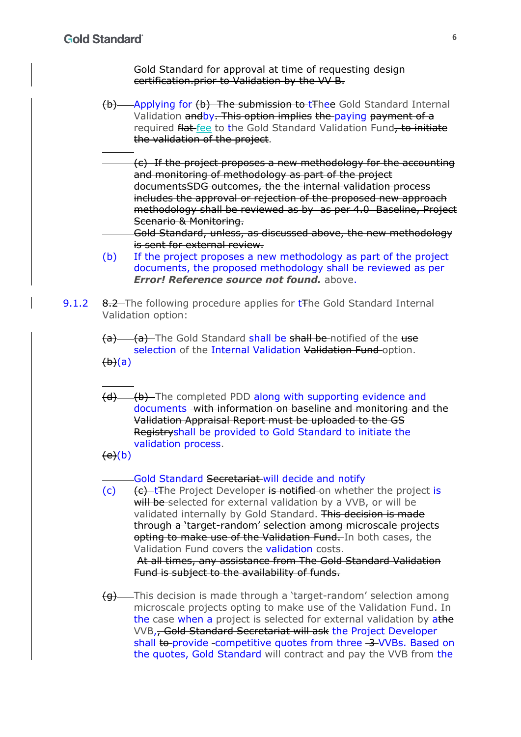Gold Standard for approval at time of requesting design certification.prior to Validation by the VV B.

- (b) Applying for (b) The submission to tThee Gold Standard Internal Validation andby. This option implies the paying payment of a required flat fee to the Gold Standard Validation Fund, to initiate the validation of the project.
- (c) If the project proposes a new methodology for the accounting and monitoring of methodology as part of the project documentsSDG outcomes, the the internal validation process includes the approval or rejection of the proposed new approach methodology shall be reviewed as by as per 4.0 Baseline, Project Scenario & Monitoring.
	- Gold Standard, unless, as discussed above, the new methodology is sent for external review.
- (b) If the project proposes a new methodology as part of the project documents, the proposed methodology shall be reviewed as per *Error! Reference source not found.* above.
- 9.1.2 8.2 The following procedure applies for t<sub>The Gold</sub> Standard Internal Validation option:

(a) (a) The Gold Standard shall be shall be notified of the use selection of the Internal Validation Validation Fund option.  $\theta$ ) $\theta$ )

(d) (b) The completed PDD along with supporting evidence and documents with information on baseline and monitoring and the Validation Appraisal Report must be uploaded to the GS Registryshall be provided to Gold Standard to initiate the validation process.

 $(e)(b)$ 

Gold Standard Secretariat will decide and notify

 $(c)$  (c)  $\left\{ \epsilon \right\}$  the Project Developer is notified on whether the project is will be selected for external validation by a VVB, or will be validated internally by Gold Standard. This decision is made through a 'target-random' selection among microscale projects opting to make use of the Validation Fund. In both cases, the Validation Fund covers the validation costs. At all times, any assistance from The Gold Standard Validation Fund is subject to the availability of funds.

(g) This decision is made through a 'target-random' selection among microscale projects opting to make use of the Validation Fund. In the case when a project is selected for external validation by athe VVB,, Gold Standard Secretariat will ask the Project Developer shall to provide competitive quotes from three 3 VVBs. Based on the quotes, Gold Standard will contract and pay the VVB from the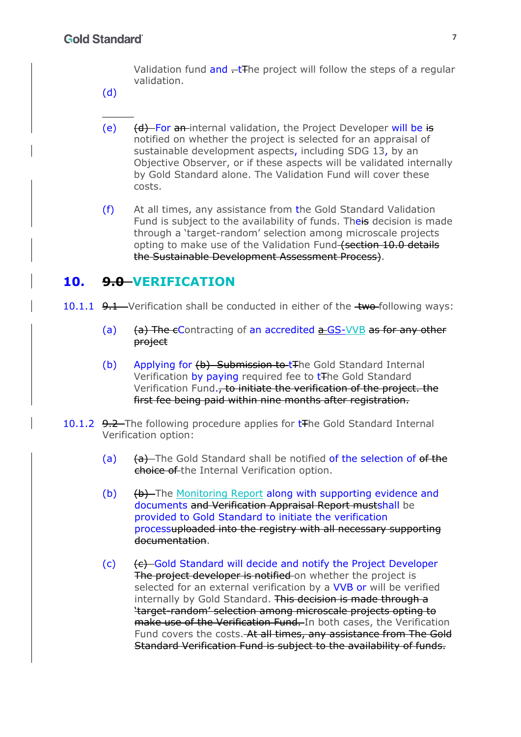Validation fund and  $-\text{tF}$ he project will follow the steps of a regular validation.

- (d)
- (e)  $(d)$  For an internal validation, the Project Developer will be is notified on whether the project is selected for an appraisal of sustainable development aspects, including SDG 13, by an Objective Observer, or if these aspects will be validated internally by Gold Standard alone. The Validation Fund will cover these costs.
- (f) At all times, any assistance from the Gold Standard Validation Fund is subject to the availability of funds. Theis decision is made through a 'target-random' selection among microscale projects opting to make use of the Validation Fund (section 10.0 details the Sustainable Development Assessment Process).

# **10. 9.0 VERIFICATION**

- 10.1.1  $9.1 -$  Verification shall be conducted in either of the  $\pm$ wo-following ways:
	- (a)  $(a)$  The eContracting of an accredited  $a$ -GS-VVB as for any other project
	- (b) Applying for (b) Submission to the Gold Standard Internal Verification by paying required fee to t<sub>The Gold</sub> Standard Verification Fund., to initiate the verification of the project. the first fee being paid within nine months after registration.
- 10.1.2 9.2 The following procedure applies for t<sub>The Gold</sub> Standard Internal Verification option:
	- (a) (a) (a) The Gold Standard shall be notified of the selection of of the choice of the Internal Verification option.
	- (b) (b) The Monitoring Report along with supporting evidence and documents and Verification Appraisal Report mustshall be provided to Gold Standard to initiate the verification processuploaded into the registry with all necessary supporting documentation.
	- (c)  $(e)$  Gold Standard will decide and notify the Project Developer The project developer is notified on whether the project is selected for an external verification by a VVB or will be verified internally by Gold Standard. This decision is made through a 'target-random' selection among microscale projects opting to make use of the Verification Fund. In both cases, the Verification Fund covers the costs. At all times, any assistance from The Gold Standard Verification Fund is subject to the availability of funds.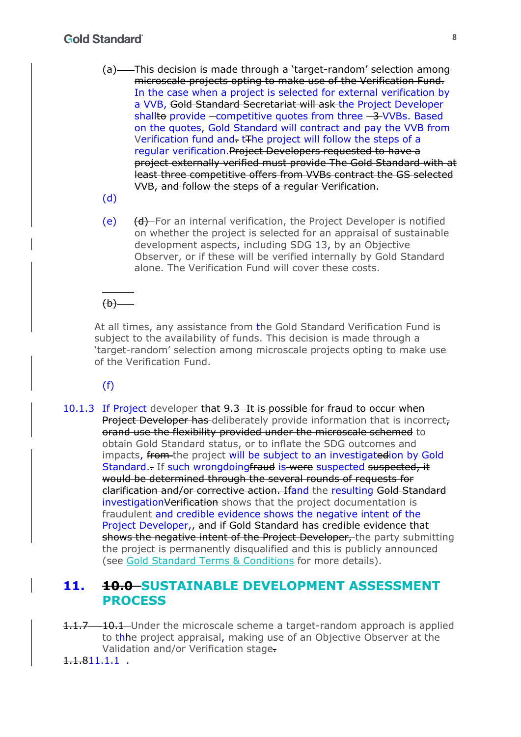#### **Gold Standard**

- (a) This decision is made through a 'target-random' selection among microscale projects opting to make use of the Verification Fund. In the case when a project is selected for external verification by a VVB, Gold Standard Secretariat will ask the Project Developer shallto provide  $\overline{-}$  competitive quotes from three  $\overline{-3}$  VVBs. Based on the quotes, Gold Standard will contract and pay the VVB from Verification fund and. tThe project will follow the steps of a regular verification.Project Developers requested to have a project externally verified must provide The Gold Standard with at least three competitive offers from VVBs contract the GS selected VVB, and follow the steps of a regular Verification.
- (d)
- (e) (d) For an internal verification, the Project Developer is notified on whether the project is selected for an appraisal of sustainable development aspects, including SDG 13, by an Objective Observer, or if these will be verified internally by Gold Standard alone. The Verification Fund will cover these costs.

# $(b)$

At all times, any assistance from the Gold Standard Verification Fund is subject to the availability of funds. This decision is made through a 'target-random' selection among microscale projects opting to make use of the Verification Fund.

(f)

10.1.3 If Project developer that 9.3 It is possible for fraud to occur when Project Developer has deliberately provide information that is incorrect, orand use the flexibility provided under the microscale schemed to obtain Gold Standard status, or to inflate the SDG outcomes and impacts, from the project will be subject to an investigatedion by Gold Standard. If such wrongdoingfraud is were suspected suspected, it would be determined through the several rounds of requests for clarification and/or corrective action. Ifand the resulting Gold Standard investigationVerification shows that the project documentation is fraudulent and credible evidence shows the negative intent of the Project Developer,, and if Gold Standard has credible evidence that shows the negative intent of the Project Developer, the party submitting the project is permanently disqualified and this is publicly announced (see Gold Standard Terms & Conditions for more details).

## **11. 10.0 SUSTAINABLE DEVELOPMENT ASSESSMENT PROCESS**

1.1.7 10.1 Under the microscale scheme a target-random approach is applied to the project appraisal, making use of an Objective Observer at the Validation and/or Verification stage.

 $1.1.811.1.1$ .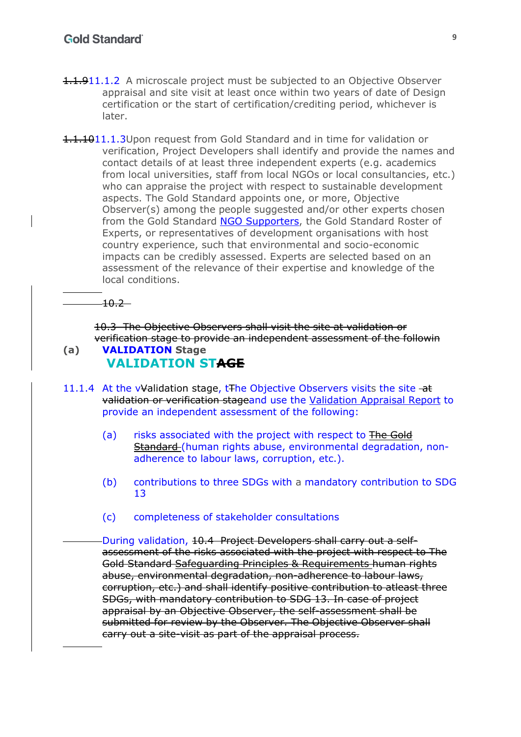- 1.1.911.1.2 A microscale project must be subjected to an Objective Observer appraisal and site visit at least once within two years of date of Design certification or the start of certification/crediting period, whichever is later.
- 1.1.1011.1.3Upon request from Gold Standard and in time for validation or verification, Project Developers shall identify and provide the names and contact details of at least three independent experts (e.g. academics from local universities, staff from local NGOs or local consultancies, etc.) who can appraise the project with respect to sustainable development aspects. The Gold Standard appoints one, or more, Objective Observer(s) among the people suggested and/or other experts chosen from the Gold Standard NGO Supporters, the Gold Standard Roster of Experts, or representatives of development organisations with host country experience, such that environmental and socio-economic impacts can be credibly assessed. Experts are selected based on an assessment of the relevance of their expertise and knowledge of the local conditions.

 $-10.2-$ 

10.3 The Objective Observers shall visit the site at validation or verification stage to provide an independent assessment of the followin **(a) VALIDATION Stage**

# **VALIDATION STAGE**

- 11.1.4 At the v<sup>y</sup>alidation stage, t<sub>The Objective Observers visits the site -at</sub> validation or verification stageand use the Validation Appraisal Report to provide an independent assessment of the following:
	- (a) risks associated with the project with respect to The Gold Standard (human rights abuse, environmental degradation, nonadherence to labour laws, corruption, etc.).
	- (b) contributions to three SDGs with a mandatory contribution to SDG 13
	- (c) completeness of stakeholder consultations

During validation, 10.4 Project Developers shall carry out a selfassessment of the risks associated with the project with respect to The Gold Standard Safeguarding Principles & Requirements human rights abuse, environmental degradation, non-adherence to labour laws, corruption, etc.) and shall identify positive contribution to atleast three SDGs, with mandatory contribution to SDG 13. In case of project appraisal by an Objective Observer, the self-assessment shall be submitted for review by the Observer. The Objective Observer shall carry out a site-visit as part of the appraisal process.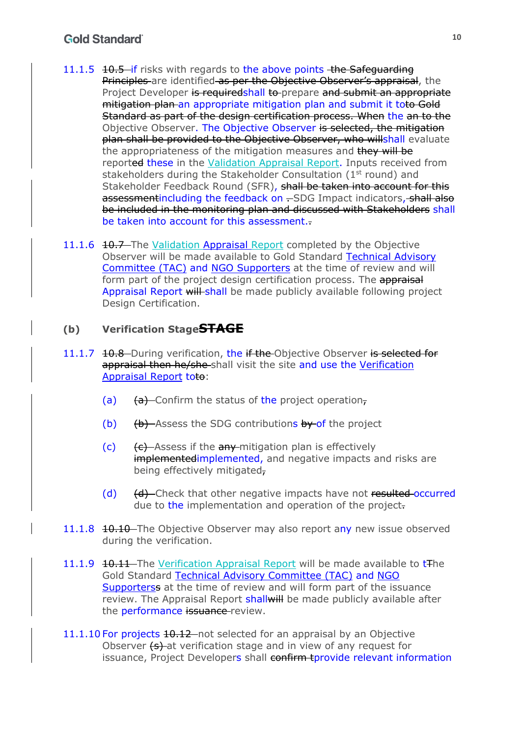#### **Gold Standard**

- 11.1.5 10.5 if risks with regards to the above points the Safeguarding Principles are identified as per the Objective Observer's appraisal, the Project Developer is requiredshall to prepare and submit an appropriate mitigation plan an appropriate mitigation plan and submit it toto Gold Standard as part of the design certification process. When the an to the Objective Observer. The Objective Observer is selected, the mitigation plan shall be provided to the Objective Observer, who willshall evaluate the appropriateness of the mitigation measures and they will be reported these in the Validation Appraisal Report. Inputs received from stakeholders during the Stakeholder Consultation (1<sup>st</sup> round) and Stakeholder Feedback Round (SFR), shall be taken into account for this assessmentincluding the feedback on -SDG Impact indicators, shall also be included in the monitoring plan and discussed with Stakeholders shall be taken into account for this assessment..
- 11.1.6 10.7 The Validation Appraisal Report completed by the Objective Observer will be made available to Gold Standard Technical Advisory Committee (TAC) and NGO Supporters at the time of review and will form part of the project design certification process. The appraisal Appraisal Report will-shall be made publicly available following project Design Certification.

#### **(b) Verification StageSTAGE**

- 11.1.7 10.8 During verification, the if the Objective Observer is selected for appraisal then he/she-shall visit the site and use the Verification Appraisal Report toto:
	- (a)  $(a)$  (a) Confirm the status of the project operation,
	- (b)  $(b)$  Assess the SDG contributions by of the project
	- $(c)$  (c)  $\left\{ \epsilon \right\}$  Assess if the any mitigation plan is effectively implementedimplemented, and negative impacts and risks are being effectively mitigated,
	- (d) (d) (d) Check that other negative impacts have not resulted occurred due to the implementation and operation of the project-
- 11.1.8 10.10 The Objective Observer may also report any new issue observed during the verification.
- 11.1.9 10.11 The Verification Appraisal Report will be made available to tThe Gold Standard Technical Advisory Committee (TAC) and NGO Supporterss at the time of review and will form part of the issuance review. The Appraisal Report shall will be made publicly available after the **performance** issuance review.
- 11.1.10 For projects 10.12 not selected for an appraisal by an Objective Observer (s) at verification stage and in view of any request for issuance, Project Developers shall confirm tprovide relevant information